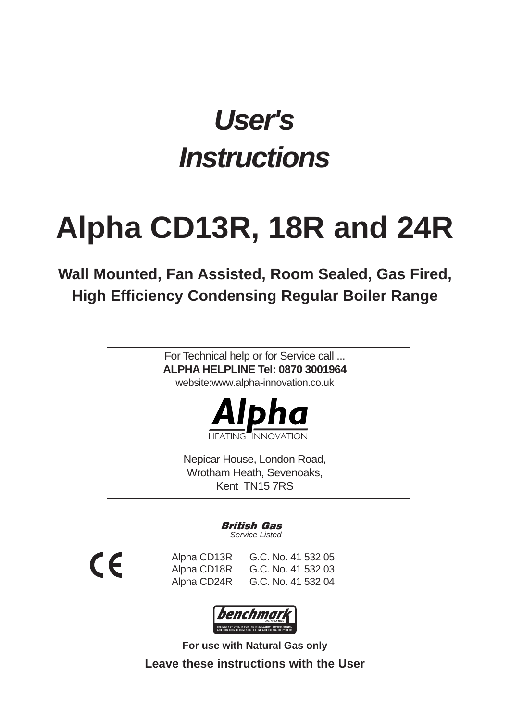## *User's Instructions*

# **Alpha CD13R, 18R and 24R**

## **Wall Mounted, Fan Assisted, Room Sealed, Gas Fired, High Efficiency Condensing Regular Boiler Range**

For Technical help or for Service call ... **ALPHA HELPLINE Tel: 0870 3001964** website:www.alpha-innovation.co.uk



**TININIC** 

Nepicar House, London Road, Wrotham Heath, Sevenoaks, Kent TN15 7RS

> British Gas *Service Listed*



Alpha CD13R G.C. No. 41 532 05 Alpha CD18R G.C. No. 41 532 03 Alpha CD24R G.C. No. 41 532 04



**For use with Natural Gas only Leave these instructions with the User**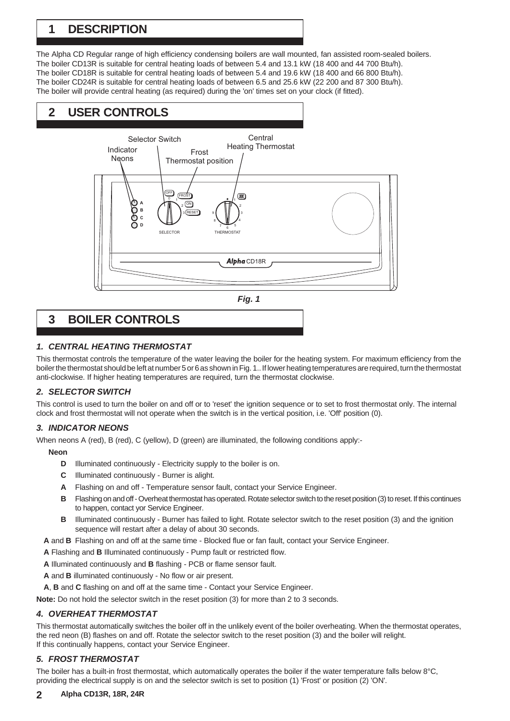## **1 DESCRIPTION**

The Alpha CD Regular range of high efficiency condensing boilers are wall mounted, fan assisted room-sealed boilers. The boiler CD13R is suitable for central heating loads of between 5.4 and 13.1 kW (18 400 and 44 700 Btu/h). The boiler CD18R is suitable for central heating loads of between 5.4 and 19.6 kW (18 400 and 66 800 Btu/h). The boiler CD24R is suitable for central heating loads of between 6.5 and 25.6 kW (22 200 and 87 300 Btu/h). The boiler will provide central heating (as required) during the 'on' times set on your clock (if fitted).

## **2 USER CONTROLS**





## **3 BOILER CONTROLS**

## *1. CENTRAL HEATING THERMOSTAT*

This thermostat controls the temperature of the water leaving the boiler for the heating system. For maximum efficiency from the boiler the thermostat should be left at number 5 or 6 as shown in Fig. 1.. If lower heating temperatures are required, turn the thermostat anti-clockwise. If higher heating temperatures are required, turn the thermostat clockwise.

## *2. SELECTOR SWITCH*

This control is used to turn the boiler on and off or to 'reset' the ignition sequence or to set to frost thermostat only. The internal clock and frost thermostat will not operate when the switch is in the vertical position, i.e. 'Off' position (0).

## *3. INDICATOR NEONS*

When neons A (red), B (red), C (yellow), D (green) are illuminated, the following conditions apply:-

#### **Neon**

- **D** Illuminated continuously Electricity supply to the boiler is on.
- **C** Illuminated continuously Burner is alight.
- **A** Flashing on and off Temperature sensor fault, contact your Service Engineer.
- **B** Flashing on and off Overheat thermostat has operated. Rotate selector switch to the reset position (3) to reset. If this continues to happen, contact yor Service Engineer.
- **B** Illuminated continuously Burner has failed to light. Rotate selector switch to the reset position (3) and the ignition sequence will restart after a delay of about 30 seconds.

**A** and **B** Flashing on and off at the same time - Blocked flue or fan fault, contact your Service Engineer.

- **A** Flashing and **B** Illuminated continuously Pump fault or restricted flow.
- **A** Illuminated continuously and **B** flashing PCB or flame sensor fault.
- **A** and **B** illuminated continuously No flow or air present.

**A**, **B** and **C** flashing on and off at the same time - Contact your Service Engineer.

**Note:** Do not hold the selector switch in the reset position (3) for more than 2 to 3 seconds.

## *4. OVERHEAT THERMOSTAT*

This thermostat automatically switches the boiler off in the unlikely event of the boiler overheating. When the thermostat operates, the red neon (B) flashes on and off. Rotate the selector switch to the reset position (3) and the boiler will relight. If this continually happens, contact your Service Engineer.

## *5. FROST THERMOSTAT*

The boiler has a built-in frost thermostat, which automatically operates the boiler if the water temperature falls below 8°C, providing the electrical supply is on and the selector switch is set to position (1) 'Frost' or position (2) 'ON'.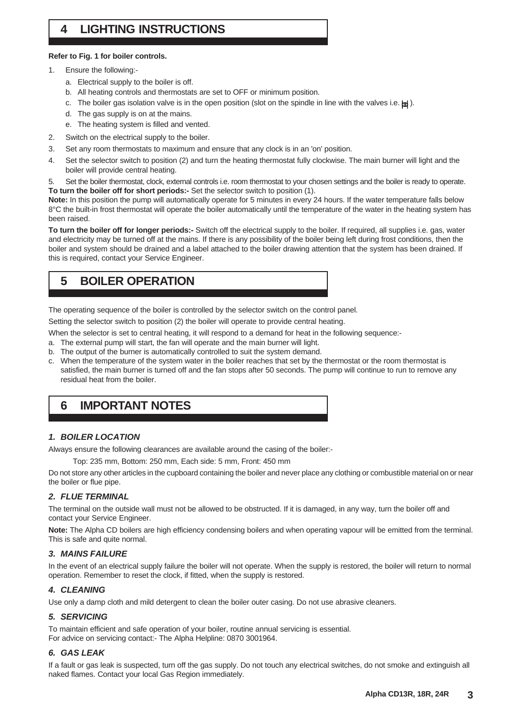## **4 LIGHTING INSTRUCTIONS**

#### **Refer to Fig. 1 for boiler controls.**

- 1. Ensure the following:
	- a. Electrical supply to the boiler is off.
	- b. All heating controls and thermostats are set to OFF or minimum position.
	- c. The boiler gas isolation valve is in the open position (slot on the spindle in line with the valves i.e.  $\{\mathbf{h}\}\$ ).
	- d. The gas supply is on at the mains.
	- e. The heating system is filled and vented.
- 2. Switch on the electrical supply to the boiler.
- 3. Set any room thermostats to maximum and ensure that any clock is in an 'on' position.
- 4. Set the selector switch to position (2) and turn the heating thermostat fully clockwise. The main burner will light and the boiler will provide central heating.
- 5. Set the boiler thermostat, clock, external controls i.e. room thermostat to your chosen settings and the boiler is ready to operate. **To turn the boiler off for short periods:-** Set the selector switch to position (1).

**Note:** In this position the pump will automatically operate for 5 minutes in every 24 hours. If the water temperature falls below 8°C the built-in frost thermostat will operate the boiler automatically until the temperature of the water in the heating system has been raised.

**To turn the boiler off for longer periods:-** Switch off the electrical supply to the boiler. If required, all supplies i.e. gas, water and electricity may be turned off at the mains. If there is any possibility of the boiler being left during frost conditions, then the boiler and system should be drained and a label attached to the boiler drawing attention that the system has been drained. If this is required, contact your Service Engineer.

## **5 BOILER OPERATION**

The operating sequence of the boiler is controlled by the selector switch on the control panel.

Setting the selector switch to position (2) the boiler will operate to provide central heating.

When the selector is set to central heating, it will respond to a demand for heat in the following sequence:-

- a. The external pump will start, the fan will operate and the main burner will light.
- b. The output of the burner is automatically controlled to suit the system demand.
- c. When the temperature of the system water in the boiler reaches that set by the thermostat or the room thermostat is satisfied, the main burner is turned off and the fan stops after 50 seconds. The pump will continue to run to remove any residual heat from the boiler.

## **6 IMPORTANT NOTES**

## *1. BOILER LOCATION*

Always ensure the following clearances are available around the casing of the boiler:-

Top: 235 mm, Bottom: 250 mm, Each side: 5 mm, Front: 450 mm

Do not store any other articles in the cupboard containing the boiler and never place any clothing or combustible material on or near the boiler or flue pipe.

## *2. FLUE TERMINAL*

The terminal on the outside wall must not be allowed to be obstructed. If it is damaged, in any way, turn the boiler off and contact your Service Engineer.

**Note:** The Alpha CD boilers are high efficiency condensing boilers and when operating vapour will be emitted from the terminal. This is safe and quite normal.

#### *3. MAINS FAILURE*

In the event of an electrical supply failure the boiler will not operate. When the supply is restored, the boiler will return to normal operation. Remember to reset the clock, if fitted, when the supply is restored.

## *4. CLEANING*

Use only a damp cloth and mild detergent to clean the boiler outer casing. Do not use abrasive cleaners.

## *5. SERVICING*

To maintain efficient and safe operation of your boiler, routine annual servicing is essential. For advice on servicing contact:- The Alpha Helpline: 0870 3001964.

## *6. GAS LEAK*

If a fault or gas leak is suspected, turn off the gas supply. Do not touch any electrical switches, do not smoke and extinguish all naked flames. Contact your local Gas Region immediately.